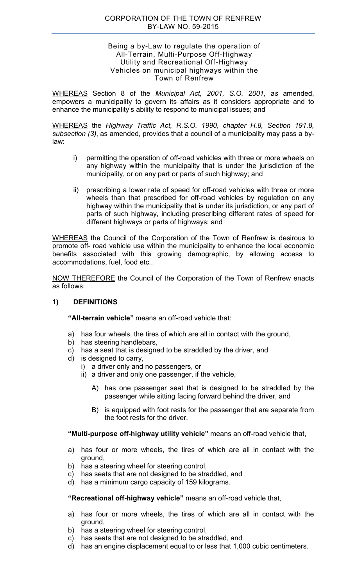#### CORPORATION OF THE TOWN OF RENFREW BY-LAW NO. 59-2015

#### Being a by-Law to regulate the operation of All-Terrain, Multi-Purpose Off-Highway Utility and Recreational Off-Highway Vehicles on municipal highways within the Town of Renfrew

WHEREAS Section 8 of the *Municipal Act, 2001, S.O. 2001*, a*s* amended, empowers a municipality to govern its affairs as it considers appropriate and to enhance the municipality's ability to respond to municipal issues; and

WHEREAS the *Highway Traffic Act, R.S.O. 1990*, *chapter H.8, Section 191.8, subsection (3)*, as amended, provides that a council of a municipality may pass a bylaw:

- i) permitting the operation of off-road vehicles with three or more wheels on any highway within the municipality that is under the jurisdiction of the municipality, or on any part or parts of such highway; and
- ii) prescribing a lower rate of speed for off-road vehicles with three or more wheels than that prescribed for off-road vehicles by regulation on any highway within the municipality that is under its jurisdiction, or any part of parts of such highway, including prescribing different rates of speed for different highways or parts of highways; and

WHEREAS the Council of the Corporation of the Town of Renfrew is desirous to promote off- road vehicle use within the municipality to enhance the local economic benefits associated with this growing demographic, by allowing access to accommodations, fuel, food etc..

NOW THEREFORE the Council of the Corporation of the Town of Renfrew enacts as follows:

### **1) DEFINITIONS**

**"All-terrain vehicle"** means an off-road vehicle that:

- a) has four wheels, the tires of which are all in contact with the ground,
- b) has steering handlebars,
- c) has a seat that is designed to be straddled by the driver, and
- d) is designed to carry,
	- i) a driver only and no passengers, or
	- ii) a driver and only one passenger, if the vehicle,
		- A) has one passenger seat that is designed to be straddled by the passenger while sitting facing forward behind the driver, and
		- B) is equipped with foot rests for the passenger that are separate from the foot rests for the driver.

**"Multi-purpose off-highway utility vehicle"** means an off-road vehicle that,

- a) has four or more wheels, the tires of which are all in contact with the ground,
- b) has a steering wheel for steering control,
- c) has seats that are not designed to be straddled, and
- d) has a minimum cargo capacity of 159 kilograms.

#### **"Recreational off-highway vehicle"** means an off-road vehicle that,

- a) has four or more wheels, the tires of which are all in contact with the ground,
- b) has a steering wheel for steering control,
- c) has seats that are not designed to be straddled, and
- d) has an engine displacement equal to or less that 1,000 cubic centimeters.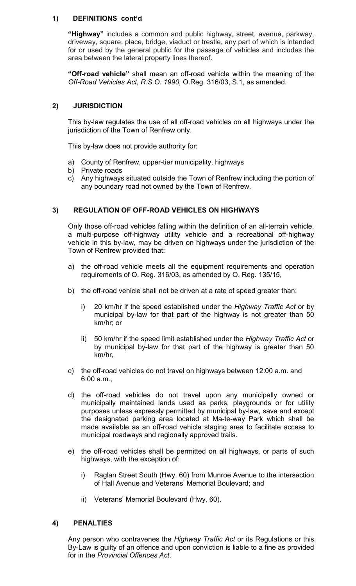### **1) DEFINITIONS cont'd**

**"Highway"** includes a common and public highway, street, avenue, parkway, driveway, square, place, bridge, viaduct or trestle, any part of which is intended for or used by the general public for the passage of vehicles and includes the area between the lateral property lines thereof.

**"Off-road vehicle"** shall mean an off-road vehicle within the meaning of the *Off-Road Vehicles Act, R.S.O. 1990,* O.Reg. 316/03, S.1, as amended.

## **2) JURISDICTION**

 This by-law regulates the use of all off-road vehicles on all highways under the jurisdiction of the Town of Renfrew only.

This by-law does not provide authority for:

- a) County of Renfrew, upper-tier municipality, highways
- b) Private roads
- c) Any highways situated outside the Town of Renfrew including the portion of any boundary road not owned by the Town of Renfrew.

### **3) REGULATION OF OFF-ROAD VEHICLES ON HIGHWAYS**

 Only those off-road vehicles falling within the definition of an all-terrain vehicle, a multi-purpose off-highway utility vehicle and a recreational off-highway vehicle in this by-law, may be driven on highways under the jurisdiction of the Town of Renfrew provided that:

- a) the off-road vehicle meets all the equipment requirements and operation requirements of O. Reg. 316/03, as amended by O. Reg. 135/15,
- b) the off-road vehicle shall not be driven at a rate of speed greater than:
	- i) 20 km/hr if the speed established under the *Highway Traffic Act* or by municipal by-law for that part of the highway is not greater than 50 km/hr; or
	- ii) 50 km/hr if the speed limit established under the *Highway Traffic Act* or by municipal by-law for that part of the highway is greater than 50 km/hr,
- c) the off-road vehicles do not travel on highways between 12:00 a.m. and 6:00 a.m.,
- d) the off-road vehicles do not travel upon any municipally owned or municipally maintained lands used as parks, playgrounds or for utility purposes unless expressly permitted by municipal by-law, save and except the designated parking area located at Ma-te-way Park which shall be made available as an off-road vehicle staging area to facilitate access to municipal roadways and regionally approved trails.
- e) the off-road vehicles shall be permitted on all highways, or parts of such highways, with the exception of:
	- i) Raglan Street South (Hwy. 60) from Munroe Avenue to the intersection of Hall Avenue and Veterans' Memorial Boulevard; and
	- ii) Veterans' Memorial Boulevard (Hwy. 60).

### **4) PENALTIES**

 Any person who contravenes the *Highway Traffic Act* or its Regulations or this By-Law is guilty of an offence and upon conviction is liable to a fine as provided for in the *Provincial Offences Act*.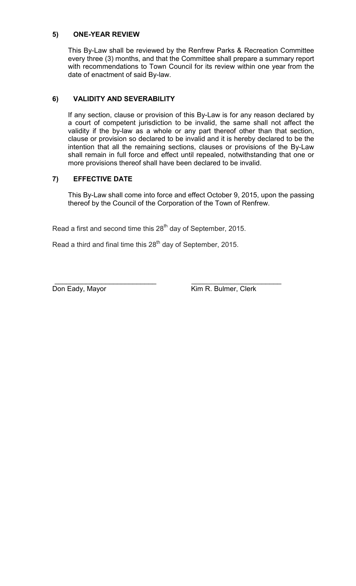### **5) ONE-YEAR REVIEW**

 This By-Law shall be reviewed by the Renfrew Parks & Recreation Committee every three (3) months, and that the Committee shall prepare a summary report with recommendations to Town Council for its review within one year from the date of enactment of said By-law.

## **6) VALIDITY AND SEVERABILITY**

 If any section, clause or provision of this By-Law is for any reason declared by a court of competent jurisdiction to be invalid, the same shall not affect the validity if the by-law as a whole or any part thereof other than that section, clause or provision so declared to be invalid and it is hereby declared to be the intention that all the remaining sections, clauses or provisions of the By-Law shall remain in full force and effect until repealed, notwithstanding that one or more provisions thereof shall have been declared to be invalid.

# **7) EFFECTIVE DATE**

 This By-Law shall come into force and effect October 9, 2015, upon the passing thereof by the Council of the Corporation of the Town of Renfrew.

Read a first and second time this  $28<sup>th</sup>$  day of September, 2015.

Read a third and final time this  $28<sup>th</sup>$  day of September, 2015.

 $\overline{\phantom{a}}$  , and the contract of the contract of the contract of the contract of the contract of the contract of the contract of the contract of the contract of the contract of the contract of the contract of the contrac Don Eady, Mayor **Kim R. Bulmer, Clerk**